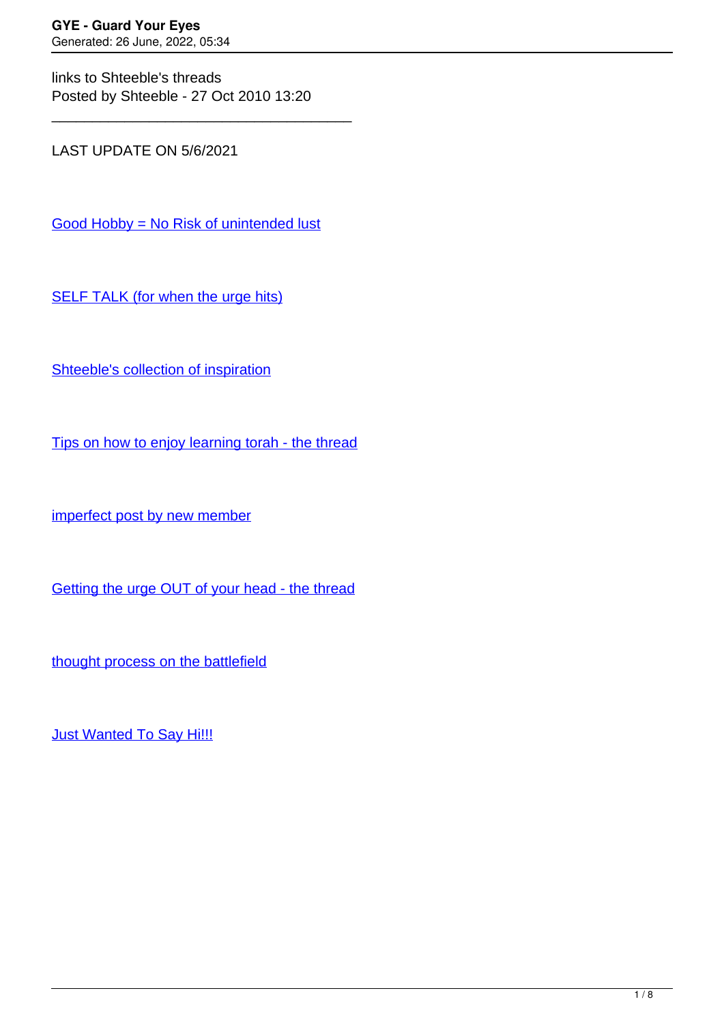links to Shteeble's threads Posted by Shteeble - 27 Oct 2010 13:20

\_\_\_\_\_\_\_\_\_\_\_\_\_\_\_\_\_\_\_\_\_\_\_\_\_\_\_\_\_\_\_\_\_\_\_\_\_

LAST UPDATE ON 5/6/2021

[Good Hobby = No Risk of unintended lust](https://guardyoureyes.com/forum/1-Break-Free/368014-Good-Hobby--No-Risk-of-unintended-lust#368014)

[SELF TALK \(for when the urge hits\)](https://guardyoureyes.com/forum/1-Break-Free/362797-SELF-TALK-%28for-when-the-urge-hits%29#362797)

[Shteeble's collection of inspiration](https://guardyoureyes.com/forum/2-What-Works-for-Me/79003-Shteebles-collection-of-inspiration)

[Tips on how to enjoy learning torah - the thread](https://guardyoureyes.com/forum/2-What-Works-for-Me/76702-Tips-on-how-to-enjoy-learning-torah---the-thread)

[imperfect post by new member](https://guardyoureyes.com/forum/19-Introduce-Yourself/76561-imperfect-post-by-new-member)

[Getting the urge OUT of your head - the thread](https://guardyoureyes.com/forum/2-What-Works-for-Me/80197-getting-the-urge-OUT-of-your-head-the-thread)

[thought process on the battlefield](https://guardyoureyes.com/forum/1-Break-Free/83127-thought-process-on-the-battlefield#83127)

**[Just Wanted To Say Hi!!!](https://guardyoureyes.com/forum/1-Break-Free/80931-Just-Wanted-To-Say-Hi%21%21%21)**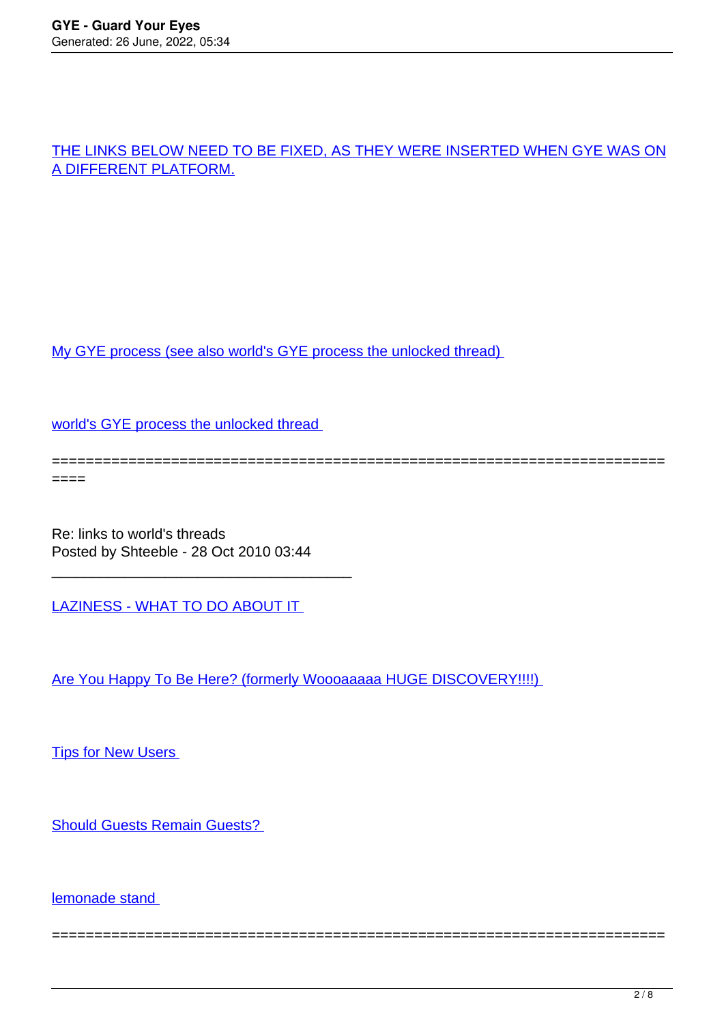# [THE LINKS BELOW NEED TO BE FIXED, AS THEY WERE INSERTED WHEN GYE WAS ON](https://guardyoureyes.com/forum/1-Break-Free/83127-thought-process-on-the-battlefield#83127) [A DIFFERENT PLATFORM.](https://guardyoureyes.com/forum/1-Break-Free/83127-thought-process-on-the-battlefield#83127)

[My GYE process \(see also world's GYE process the unlocked thread\)](http://www.guardyoureyes.com/forum/index.php?topic=3074.0) 

[world's GYE process the unlocked thread](http://www.guardyoureyes.com/forum/index.php?topic=3076.0) 

======================================================================== ====

========================================================================

Re: links to world's threads Posted by Shteeble - 28 Oct 2010 03:44

\_\_\_\_\_\_\_\_\_\_\_\_\_\_\_\_\_\_\_\_\_\_\_\_\_\_\_\_\_\_\_\_\_\_\_\_\_

[LAZINESS - WHAT TO DO ABOUT IT](http://www.guardyoureyes.org/forum/index.php?topic=2921.0) 

[Are You Happy To Be Here? \(formerly Woooaaaaa HUGE DISCOVERY!!!!\)](http://www.guardyoureyes.org/forum/index.php?topic=2911.0) 

**Tips for New Users** 

[Should Guests Remain Guests?](http://www.guardyoureyes.org/forum/index.php?topic=2904.0) 

[lemonade stand](http://www.guardyoureyes.org/forum/index.php?topic=3053.0)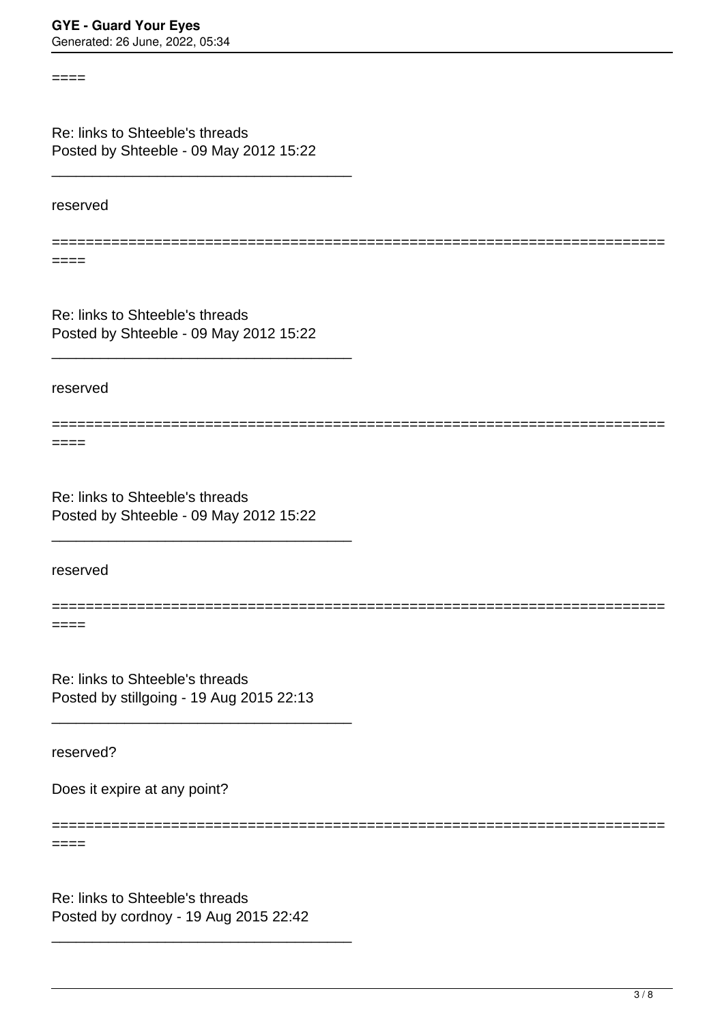Re: links to Shteeble's threads Posted by Shteeble - 09 May 2012 15:22

\_\_\_\_\_\_\_\_\_\_\_\_\_\_\_\_\_\_\_\_\_\_\_\_\_\_\_\_\_\_\_\_\_\_\_\_\_

reserved

====

====

========================================================================

========================================================================

========================================================================

Re: links to Shteeble's threads Posted by Shteeble - 09 May 2012 15:22

\_\_\_\_\_\_\_\_\_\_\_\_\_\_\_\_\_\_\_\_\_\_\_\_\_\_\_\_\_\_\_\_\_\_\_\_\_

reserved

====

Re: links to Shteeble's threads Posted by Shteeble - 09 May 2012 15:22

\_\_\_\_\_\_\_\_\_\_\_\_\_\_\_\_\_\_\_\_\_\_\_\_\_\_\_\_\_\_\_\_\_\_\_\_\_

reserved

====

Re: links to Shteeble's threads Posted by stillgoing - 19 Aug 2015 22:13

\_\_\_\_\_\_\_\_\_\_\_\_\_\_\_\_\_\_\_\_\_\_\_\_\_\_\_\_\_\_\_\_\_\_\_\_\_

reserved?

 $====$ 

Does it expire at any point?

========================================================================

Re: links to Shteeble's threads Posted by cordnoy - 19 Aug 2015 22:42

\_\_\_\_\_\_\_\_\_\_\_\_\_\_\_\_\_\_\_\_\_\_\_\_\_\_\_\_\_\_\_\_\_\_\_\_\_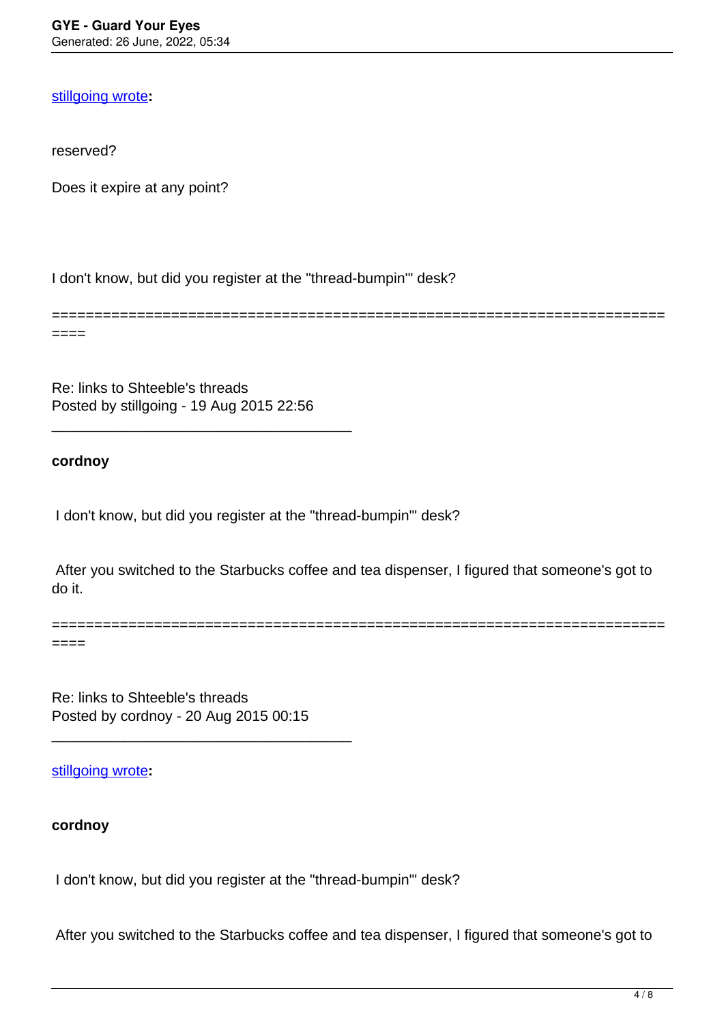### [stillgoing wrote](/forum/id-262315)**:**

reserved?

Does it expire at any point?

I don't know, but did you register at the "thread-bumpin'" desk?

======================================================================== ====

Re: links to Shteeble's threads Posted by stillgoing - 19 Aug 2015 22:56

\_\_\_\_\_\_\_\_\_\_\_\_\_\_\_\_\_\_\_\_\_\_\_\_\_\_\_\_\_\_\_\_\_\_\_\_\_

### **cordnoy**

I don't know, but did you register at the "thread-bumpin'" desk?

 After you switched to the Starbucks coffee and tea dispenser, I figured that someone's got to do it.

========================================================================  $====$ 

Re: links to Shteeble's threads Posted by cordnoy - 20 Aug 2015 00:15

\_\_\_\_\_\_\_\_\_\_\_\_\_\_\_\_\_\_\_\_\_\_\_\_\_\_\_\_\_\_\_\_\_\_\_\_\_

[stillgoing wrote](/forum/id-262318)**:**

## **cordnoy**

I don't know, but did you register at the "thread-bumpin'" desk?

After you switched to the Starbucks coffee and tea dispenser, I figured that someone's got to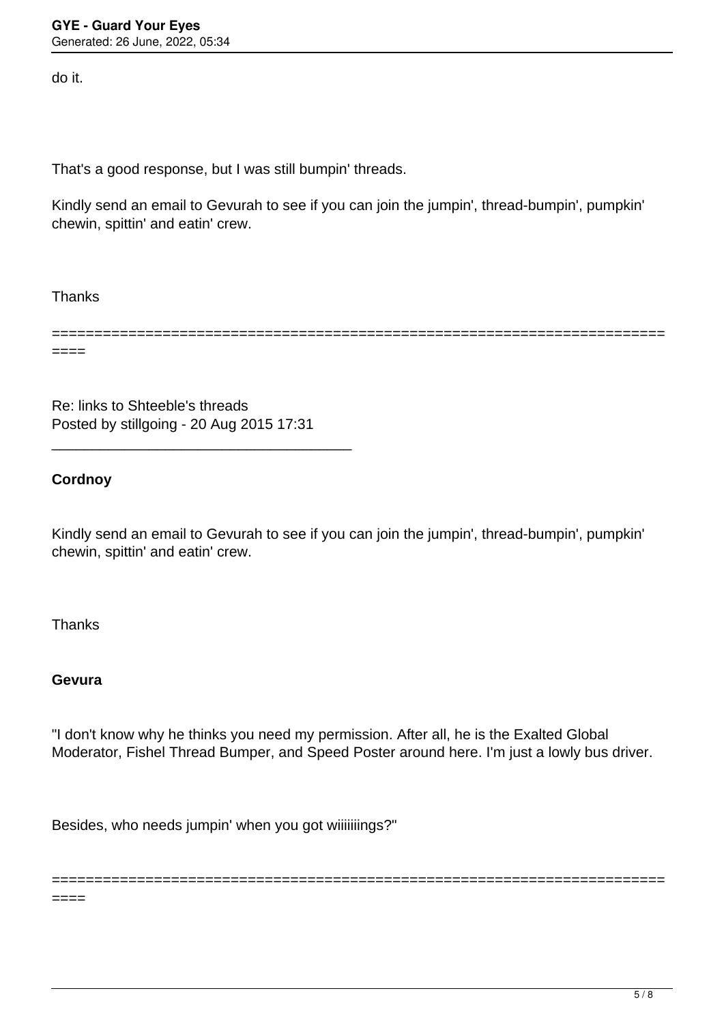do it.

That's a good response, but I was still bumpin' threads.

Kindly send an email to Gevurah to see if you can join the jumpin', thread-bumpin', pumpkin' chewin, spittin' and eatin' crew.

Thanks

======================================================================== ====

Re: links to Shteeble's threads Posted by stillgoing - 20 Aug 2015 17:31

\_\_\_\_\_\_\_\_\_\_\_\_\_\_\_\_\_\_\_\_\_\_\_\_\_\_\_\_\_\_\_\_\_\_\_\_\_

## **Cordnoy**

Kindly send an email to Gevurah to see if you can join the jumpin', thread-bumpin', pumpkin' chewin, spittin' and eatin' crew.

Thanks

## **Gevura**

 $====$ 

"I don't know why he thinks you need my permission. After all, he is the Exalted Global Moderator, Fishel Thread Bumper, and Speed Poster around here. I'm just a lowly bus driver.

========================================================================

Besides, who needs jumpin' when you got wiiiiiiings?"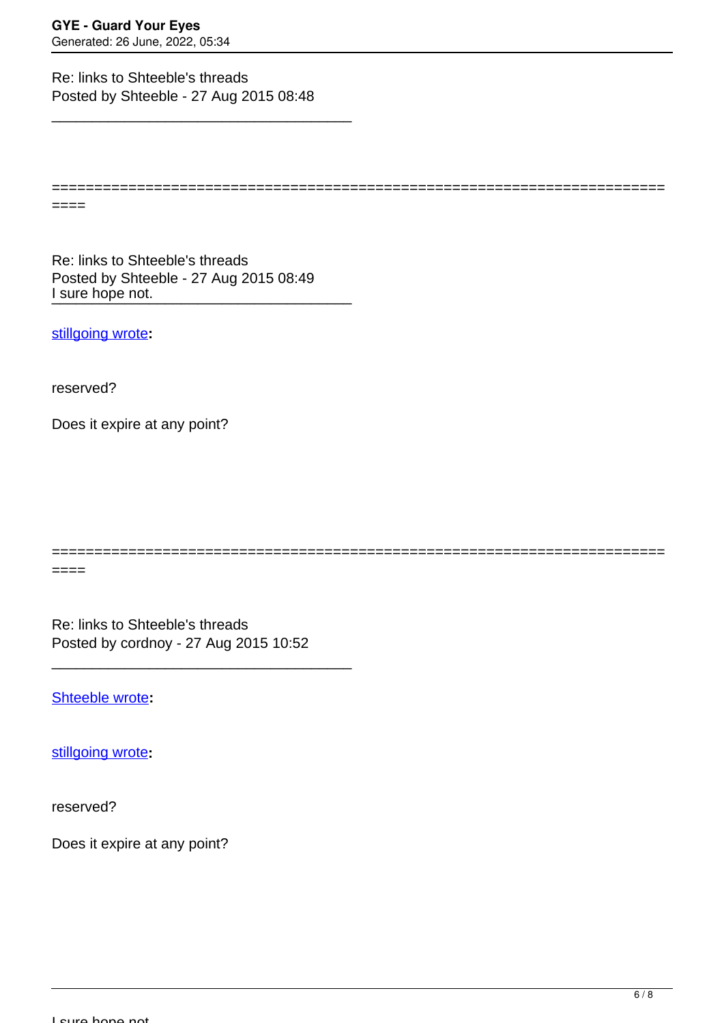Re: links to Shteeble's threads Posted by Shteeble - 27 Aug 2015 08:48

\_\_\_\_\_\_\_\_\_\_\_\_\_\_\_\_\_\_\_\_\_\_\_\_\_\_\_\_\_\_\_\_\_\_\_\_\_

========================================================================

I sure hope not. Re: links to Shteeble's threads Posted by Shteeble - 27 Aug 2015 08:49

[stillgoing wrote](/forum/id-262315)**:**

reserved?

====

====

Does it expire at any point?

Re: links to Shteeble's threads

========================================================================

Posted by cordnoy - 27 Aug 2015 10:52

\_\_\_\_\_\_\_\_\_\_\_\_\_\_\_\_\_\_\_\_\_\_\_\_\_\_\_\_\_\_\_\_\_\_\_\_\_

[Shteeble wrote](/forum/id-262820)**:**

[stillgoing wrote](/forum/id-262315)**:**

reserved?

Does it expire at any point?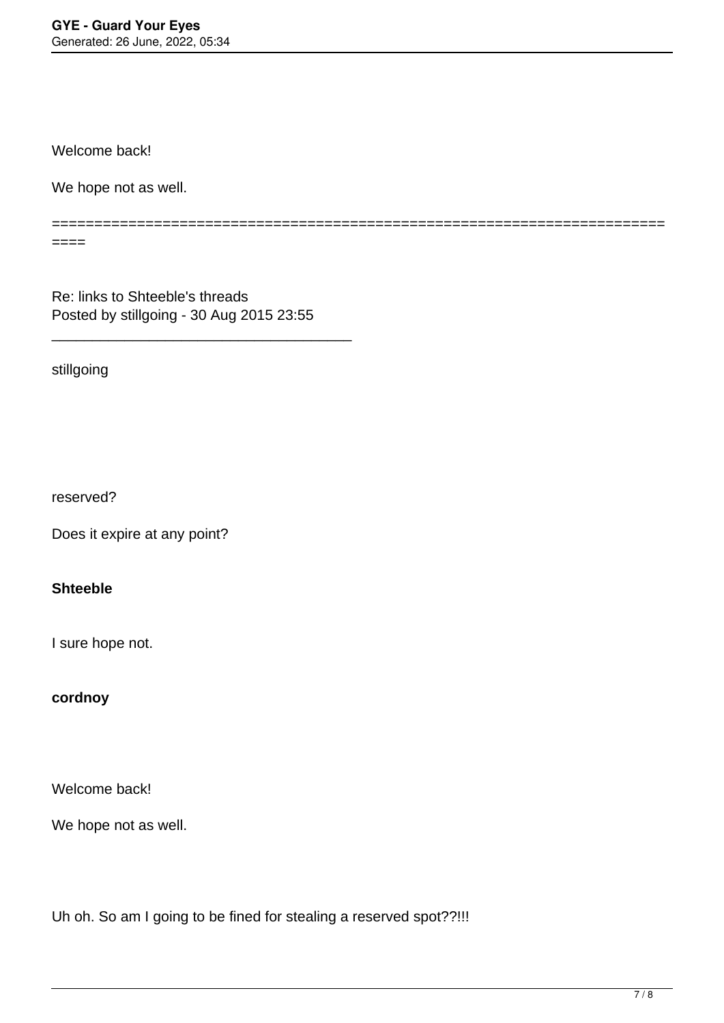Welcome back!

We hope not as well.

========================================================================

Re: links to Shteeble's threads Posted by stillgoing - 30 Aug 2015 23:55

\_\_\_\_\_\_\_\_\_\_\_\_\_\_\_\_\_\_\_\_\_\_\_\_\_\_\_\_\_\_\_\_\_\_\_\_\_

stillgoing

 $====$ 

reserved?

Does it expire at any point?

## **Shteeble**

I sure hope not.

### **cordnoy**

Welcome back!

We hope not as well.

Uh oh. So am I going to be fined for stealing a reserved spot??!!!